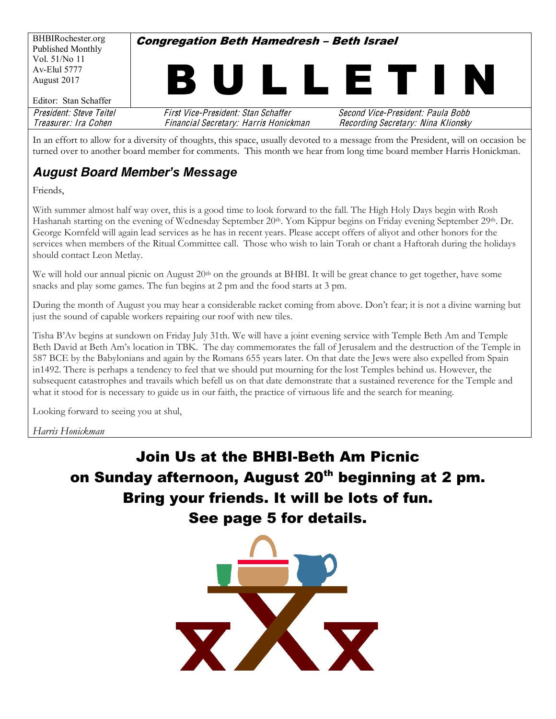| BHBIRochester.org       | <b>Congregation Beth Hamedresh - Beth Israel</b> |                                    |  |  |  |  |  |  |
|-------------------------|--------------------------------------------------|------------------------------------|--|--|--|--|--|--|
| Published Monthly       |                                                  |                                    |  |  |  |  |  |  |
| Vol. 51/No 11           |                                                  |                                    |  |  |  |  |  |  |
| Av-Elul 5777            |                                                  |                                    |  |  |  |  |  |  |
| August 2017             | B U I                                            | LLETI<br>N                         |  |  |  |  |  |  |
|                         |                                                  |                                    |  |  |  |  |  |  |
| Editor: Stan Schaffer   |                                                  |                                    |  |  |  |  |  |  |
| President: Steve Teitel | First Vice-President: Stan Schaffer              | Second Vice-President: Paula Bobb  |  |  |  |  |  |  |
| Treasurer: Ira Cohen    | Financial Secretary: Harris Honickman            | Recording Secretary: Nina Klionsky |  |  |  |  |  |  |
|                         |                                                  |                                    |  |  |  |  |  |  |

In an effort to allow for a diversity of thoughts, this space, usually devoted to a message from the President, will on occasion be turned over to another board member for comments. This month we hear from long time board member Harris Honickman.

#### *August Board Member's Message*

Friends,

With summer almost half way over, this is a good time to look forward to the fall. The High Holy Days begin with Rosh Hashanah starting on the evening of Wednesday September 20<sup>th</sup>. Yom Kippur begins on Friday evening September 29<sup>th</sup>. Dr. George Kornfeld will again lead services as he has in recent years. Please accept offers of aliyot and other honors for the services when members of the Ritual Committee call. Those who wish to lain Torah or chant a Haftorah during the holidays should contact Leon Metlay.

We will hold our annual picnic on August 20<sup>th</sup> on the grounds at BHBI. It will be great chance to get together, have some snacks and play some games. The fun begins at 2 pm and the food starts at 3 pm.

During the month of August you may hear a considerable racket coming from above. Don't fear; it is not a divine warning but just the sound of capable workers repairing our roof with new tiles.

Tisha B'Av begins at sundown on Friday July 31th. We will have a joint evening service with Temple Beth Am and Temple Beth David at Beth Am's location in TBK. The day commemorates the fall of Jerusalem and the destruction of the Temple in 587 BCE by the Babylonians and again by the Romans 655 years later. On that date the Jews were also expelled from Spain in1492. There is perhaps a tendency to feel that we should put mourning for the lost Temples behind us. However, the subsequent catastrophes and travails which befell us on that date demonstrate that a sustained reverence for the Temple and what it stood for is necessary to guide us in our faith, the practice of virtuous life and the search for meaning.

Looking forward to seeing you at shul,

*Harris Honickman*

# **Join Us at the BHBI-Beth Am Picnic** on Sunday afternoon, August 20<sup>th</sup> beginning at 2 pm. Bring your friends. It will be lots of fun. See page 5 for details.

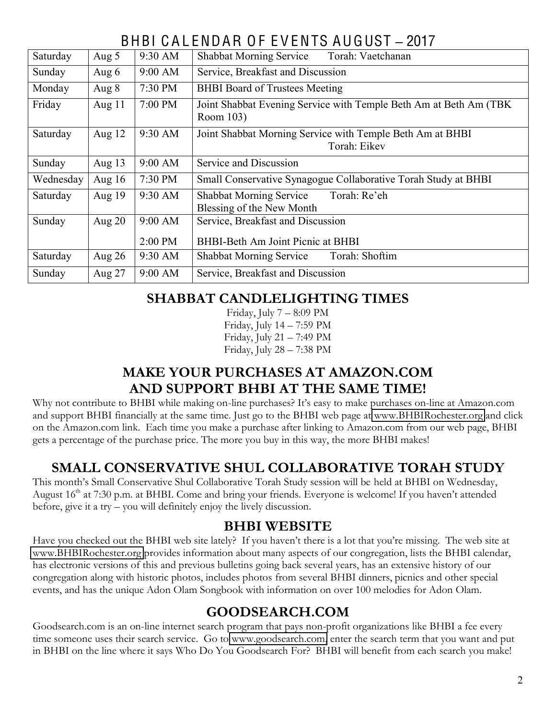# BHBI C A L ENDAR O F E V ENTS AUGUST **±** 2017

| Saturday  | Aug 5    | 9:30 AM | Torah: Vaetchanan<br><b>Shabbat Morning Service</b>                            |  |  |  |  |
|-----------|----------|---------|--------------------------------------------------------------------------------|--|--|--|--|
| Sunday    | Aug $6$  | 9:00 AM | Service, Breakfast and Discussion                                              |  |  |  |  |
| Monday    | Aug $8$  | 7:30 PM | <b>BHBI</b> Board of Trustees Meeting                                          |  |  |  |  |
| Friday    | Aug $11$ | 7:00 PM | Joint Shabbat Evening Service with Temple Beth Am at Beth Am (TBK<br>Room 103) |  |  |  |  |
| Saturday  | Aug $12$ | 9:30 AM | Joint Shabbat Morning Service with Temple Beth Am at BHBI<br>Torah: Eikev      |  |  |  |  |
| Sunday    | Aug $13$ | 9:00 AM | Service and Discussion                                                         |  |  |  |  |
| Wednesday | Aug $16$ | 7:30 PM | Small Conservative Synagogue Collaborative Torah Study at BHBI                 |  |  |  |  |
| Saturday  | Aug 19   | 9:30 AM | Torah: Re'eh<br><b>Shabbat Morning Service</b><br>Blessing of the New Month    |  |  |  |  |
| Sunday    | Aug $20$ | 9:00 AM | Service, Breakfast and Discussion                                              |  |  |  |  |
|           |          | 2:00 PM | BHBI-Beth Am Joint Picnic at BHBI                                              |  |  |  |  |
| Saturday  | Aug $26$ | 9:30 AM | Torah: Shoftim<br><b>Shabbat Morning Service</b>                               |  |  |  |  |
| Sunday    | Aug $27$ | 9:00 AM | Service, Breakfast and Discussion                                              |  |  |  |  |

#### **SHABBAT CANDLELIGHTING TIMES**

Friday, July  $7 - 8:09$  PM Friday, July  $14 - 7:59$  PM Friday, July  $21 - 7:49$  PM Friday, July  $28 - 7:38$  PM

#### **MAKE YOUR PURCHASES AT AMAZON.COM AND SUPPORT BHBI AT THE SAME TIME!**

Why not contribute to BHBI while making on-line purchases? It's easy to make purchases on-line at Amazon.com and support BHBI financially at the same time. Just go to the BHBI web page at [www.BHBIRochester.org](http://www.bhbirochester.org/) and click on the Amazon.com link. Each time you make a purchase after linking to Amazon.com from our web page, BHBI gets a percentage of the purchase price. The more you buy in this way, the more BHBI makes!

#### **SMALL CONSERVATIVE SHUL COLLABORATIVE TORAH STUDY**

This month's Small Conservative Shul Collaborative Torah Study session will be held at BHBI on Wednesday, August  $16<sup>th</sup>$  at 7:30 p.m. at BHBI. Come and bring your friends. Everyone is welcome! If you haven't attended before, give it a try  $-$  you will definitely enjoy the lively discussion.

#### **BHBI WEBSITE**

Have you checked out the BHBI web site lately? If you haven't there is a lot that you're missing. The web site at [www.BHBIRochester.org](http://www.bhbirochester.org/) provides information about many aspects of our congregation, lists the BHBI calendar, has electronic versions of this and previous bulletins going back several years, has an extensive history of our congregation along with historic photos, includes photos from several BHBI dinners, picnics and other special events, and has the unique Adon Olam Songbook with information on over 100 melodies for Adon Olam.

#### **GOODSEARCH.COM**

Goodsearch.com is an on-line internet search program that pays non-profit organizations like BHBI a fee every time someone uses their search service. Go to [www.goodsearch.com,](http://www.goodsearch.com/) enter the search term that you want and put in BHBI on the line where it says Who Do You Goodsearch For? BHBI will benefit from each search you make!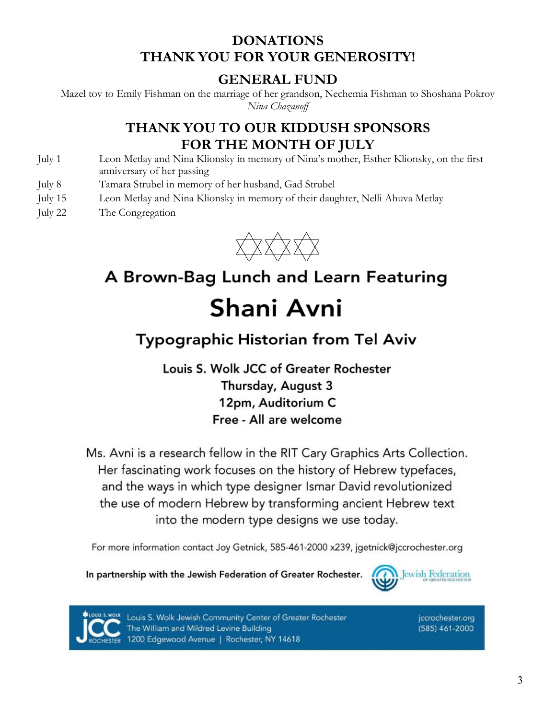#### **DONATIONS THANK YOU FOR YOUR GENEROSITY!**

#### **GENERAL FUND**

Mazel tov to Emily Fishman on the marriage of her grandson, Nechemia Fishman to Shoshana Pokroy *Nina Chazanoff*

#### **THANK YOU TO OUR KIDDUSH SPONSORS FOR THE MONTH OF JULY**

- July 1 Leon Metlay and Nina Klionsky in memory of Nina's mother, Esther Klionsky, on the first anniversary of her passing
- July 8 Tamara Strubel in memory of her husband, Gad Strubel
- July 15 Leon Metlay and Nina Klionsky in memory of their daughter, Nelli Ahuva Metlay
- July 22 The Congregation



# A Brown-Bag Lunch and Learn Featuring Shani Avni

# **Typographic Historian from Tel Aviv**

Louis S. Wolk JCC of Greater Rochester Thursday, August 3 12pm, Auditorium C Free - All are welcome

Ms. Avni is a research fellow in the RIT Cary Graphics Arts Collection. Her fascinating work focuses on the history of Hebrew typefaces, and the ways in which type designer Ismar David revolutionized the use of modern Hebrew by transforming ancient Hebrew text into the modern type designs we use today.

For more information contact Joy Getnick, 585-461-2000 x239, jgetnick@jccrochester.org

In partnership with the Jewish Federation of Greater Rochester.





Louis S. Wolk Jewish Community Center of Greater Rochester The William and Mildred Levine Building 1200 Edgewood Avenue | Rochester, NY 14618

jccrochester.org (585) 461-2000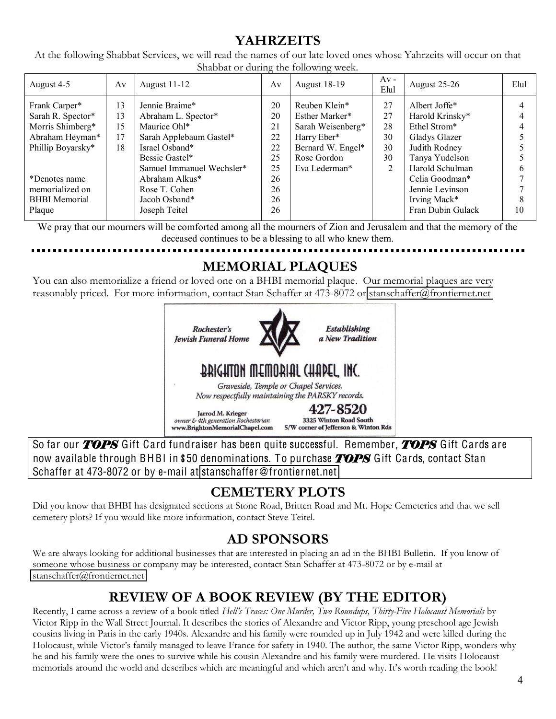#### **YAHRZEITS**

At the following Shabbat Services, we will read the names of our late loved ones whose Yahrzeits will occur on that Shabbat or during the following week.

| August 4-5                                                                                                                                                 | Av                         | August 11-12                                                                                                                                                                                          | Av                                                       | <b>August 18-19</b>                                                                                                      | $Av -$<br>Elul                        | August 25-26                                                                                                                                                                 | Elul |
|------------------------------------------------------------------------------------------------------------------------------------------------------------|----------------------------|-------------------------------------------------------------------------------------------------------------------------------------------------------------------------------------------------------|----------------------------------------------------------|--------------------------------------------------------------------------------------------------------------------------|---------------------------------------|------------------------------------------------------------------------------------------------------------------------------------------------------------------------------|------|
| Frank Carper*<br>Sarah R. Spector*<br>Morris Shimberg*<br>Abraham Heyman*<br>Phillip Boyarsky*<br>*Denotes name<br>memorialized on<br><b>BHBI</b> Memorial | 13<br>13<br>15<br>17<br>18 | Jennie Braime*<br>Abraham L. Spector*<br>Maurice Ohl*<br>Sarah Applebaum Gastel*<br>Israel Osband*<br>Bessie Gastel*<br>Samuel Immanuel Wechsler*<br>Abraham Alkus*<br>Rose T. Cohen<br>Jacob Osband* | 20<br>20<br>21<br>22<br>22<br>25<br>25<br>26<br>26<br>26 | Reuben Klein*<br>Esther Marker*<br>Sarah Weisenberg*<br>Harry Eber*<br>Bernard W. Engel*<br>Rose Gordon<br>Eva Lederman* | 27<br>27<br>28<br>30<br>30<br>30<br>2 | Albert Joffe*<br>Harold Krinsky*<br>Ethel Strom*<br>Gladys Glazer<br>Judith Rodney<br>Tanya Yudelson<br>Harold Schulman<br>Celia Goodman*<br>Jennie Levinson<br>Irving Mack* |      |
| Plaque                                                                                                                                                     |                            | Joseph Teitel                                                                                                                                                                                         | 26                                                       |                                                                                                                          |                                       | Fran Dubin Gulack                                                                                                                                                            | 10   |

We pray that our mourners will be comforted among all the mourners of Zion and Jerusalem and that the memory of the deceased continues to be a blessing to all who knew them.

# **MEMORIAL PLAQUES**

You can also memorialize a friend or loved one on a BHBI memorial plaque. Our memorial plaques are very reasonably priced. For more information, contact Stan Schaffer at 473-8072 or [stanschaffer@frontiernet.net](mailto:stanschaffer@frontiernet.net)



So far our *TOPS* Gift Card fundraiser has been quite successful. Remember, *TOPS* Gift Cards are now available through BHBI in \$50 denominations. To purchase *TOPS* Gift Cards, contact Stan Schaffer at 473-8072 or by e-mail at stanschaffe[r@fronti](mailto:stanschaffer@frontiernet.net)ernet.net

### **CEMETERY PLOTS**

Did you know that BHBI has designated sections at Stone Road, Britten Road and Mt. Hope Cemeteries and that we sell cemetery plots? If you would like more information, contact Steve Teitel.

#### **AD SPONSORS**

We are always looking for additional businesses that are interested in placing an ad in the BHBI Bulletin. If you know of someone whose business or company may be interested, contact Stan Schaffer at 473-8072 or by e-mail at [stanschaffer@frontiernet.net](mailto:stanschaffer@frontiernet.net)

#### **REVIEW OF A BOOK REVIEW (BY THE EDITOR)**

Recently, I came across a review of a book titled *Hell's Traces: One Murder, Two Roundups, Thirty-Five Holocaust Memorials* by Victor Ripp in the Wall Street Journal. It describes the stories of Alexandre and Victor Ripp, young preschool age Jewish cousins living in Paris in the early 1940s. Alexandre and his family were rounded up in July 1942 and were killed during the Holocaust, while Victor's family managed to leave France for safety in 1940. The author, the same Victor Ripp, wonders why he and his family were the ones to survive while his cousin Alexandre and his family were murdered. He visits Holocaust memorials around the world and describes which are meaningful and which aren't and why. It's worth reading the book!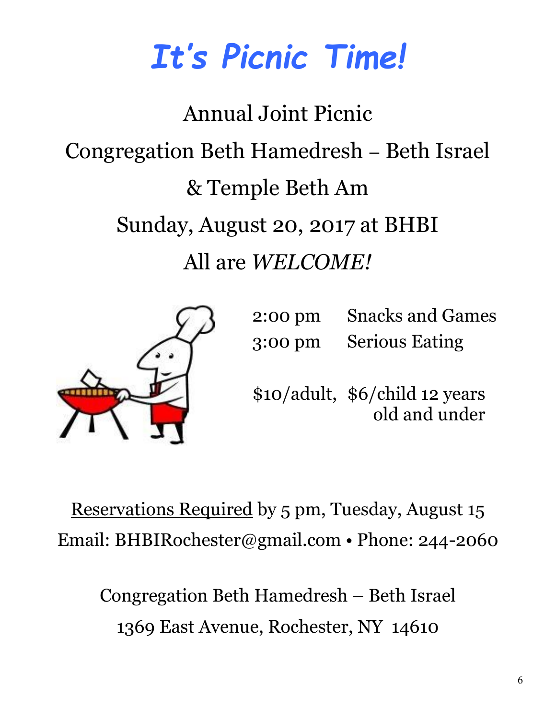# *Tt's Picnic Time!*

Annual Joint Picnic Congregation Beth Hamedresh – Beth Israel &&Temple&Beth&Am Sunday, August 20, 2017 at BHBI All are *WELCOME!* 



2:00 pm Snacks and Games 3:00 pm Serious Eating

\$10/adult, \$6/child 12 years old and under

Reservations Required by 5 pm, Tuesday, August 15 Email: BHBIRochester@gmail.com • Phone: 244-2060

Congregation Beth Hamedresh – Beth Israel 1369 East Avenue, Rochester, NY 14610